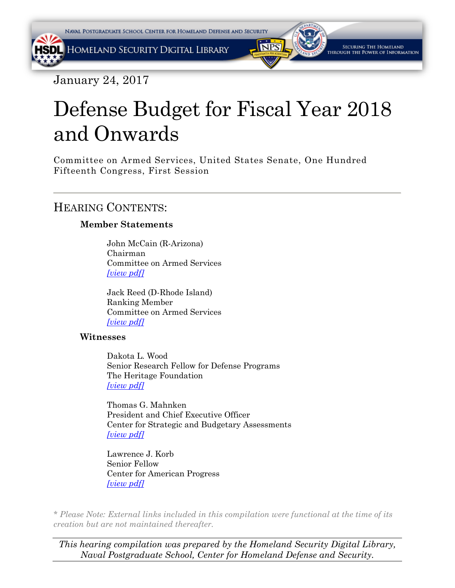January 24, 2017

# Defense Budget for Fiscal Year 2018 and Onwards

Committee on Armed Services, United States Senate, One Hundred Fifteenth Congress, First Session

# HEARING CONTENTS:

## **Member Statements**

John McCain (R-Arizona) Chairman Committee on Armed Services *[\[view pdf\]](#page-2-0)*

Jack Reed (D-Rhode Island) Ranking Member Committee on Armed Services *[\[view pdf\]](#page-5-0)*

#### **Witnesses**

Dakota L. Wood Senior Research Fellow for Defense Programs The Heritage Foundation *[\[view pdf\]](#page-10-0)*

Thomas G. Mahnken President and Chief Executive Officer Center for Strategic and Budgetary Assessments *[\[view pdf\]](#page-14-0)*

Lawrence J. Korb Senior Fellow Center for American Progress *[\[view pdf\]](#page-17-0)*

*\* Please Note: External links included in this compilation were functional at the time of its creation but are not maintained thereafter.* 

*This hearing compilation was prepared by the Homeland Security Digital Library, Naval Postgraduate School, Center for Homeland Defense and Security.*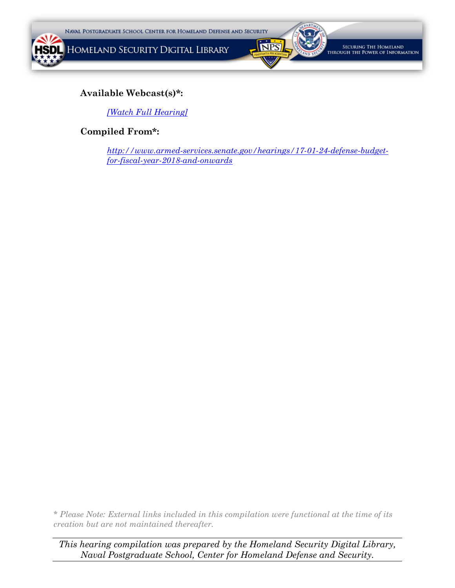



SECURING THE HOMELAND THROUGH THE POWER OF INFORMATION

#### **Available Webcast(s)\*:**

*[\[Watch Full Hearing\]](http://www.armed-services.senate.gov/hearings/17-01-24-defense-budget-for-fiscal-year-2018-and-onwards)*

#### **Compiled From\*:**

*[http://www.armed-services.senate.gov/hearings/17-01-24-defense-budget](http://www.armed-services.senate.gov/hearings/17-01-24-defense-budget-for-fiscal-year-2018-and-onwards)[for-fiscal-year-2018-and-onwards](http://www.armed-services.senate.gov/hearings/17-01-24-defense-budget-for-fiscal-year-2018-and-onwards)*

*\* Please Note: External links included in this compilation were functional at the time of its creation but are not maintained thereafter.* 

*This hearing compilation was prepared by the Homeland Security Digital Library, Naval Postgraduate School, Center for Homeland Defense and Security.*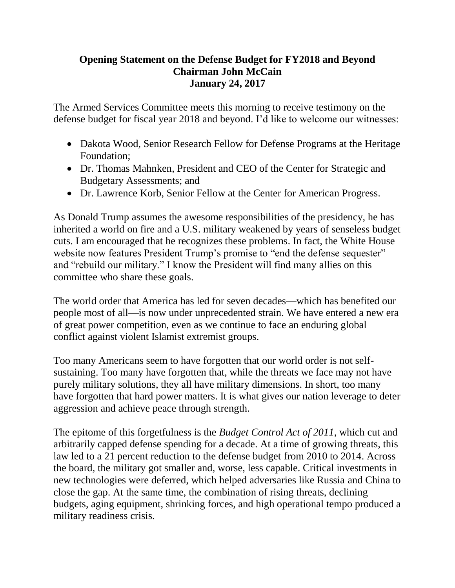# <span id="page-2-0"></span>**Opening Statement on the Defense Budget for FY2018 and Beyond Chairman John McCain January 24, 2017**

The Armed Services Committee meets this morning to receive testimony on the defense budget for fiscal year 2018 and beyond. I'd like to welcome our witnesses:

- Dakota Wood, Senior Research Fellow for Defense Programs at the Heritage Foundation;
- Dr. Thomas Mahnken, President and CEO of the Center for Strategic and Budgetary Assessments; and
- Dr. Lawrence Korb, Senior Fellow at the Center for American Progress.

As Donald Trump assumes the awesome responsibilities of the presidency, he has inherited a world on fire and a U.S. military weakened by years of senseless budget cuts. I am encouraged that he recognizes these problems. In fact, the White House website now features President Trump's promise to "end the defense sequester" and "rebuild our military." I know the President will find many allies on this committee who share these goals.

The world order that America has led for seven decades—which has benefited our people most of all—is now under unprecedented strain. We have entered a new era of great power competition, even as we continue to face an enduring global conflict against violent Islamist extremist groups.

Too many Americans seem to have forgotten that our world order is not selfsustaining. Too many have forgotten that, while the threats we face may not have purely military solutions, they all have military dimensions. In short, too many have forgotten that hard power matters. It is what gives our nation leverage to deter aggression and achieve peace through strength.

The epitome of this forgetfulness is the *Budget Control Act of 2011*, which cut and arbitrarily capped defense spending for a decade. At a time of growing threats, this law led to a 21 percent reduction to the defense budget from 2010 to 2014. Across the board, the military got smaller and, worse, less capable. Critical investments in new technologies were deferred, which helped adversaries like Russia and China to close the gap. At the same time, the combination of rising threats, declining budgets, aging equipment, shrinking forces, and high operational tempo produced a military readiness crisis.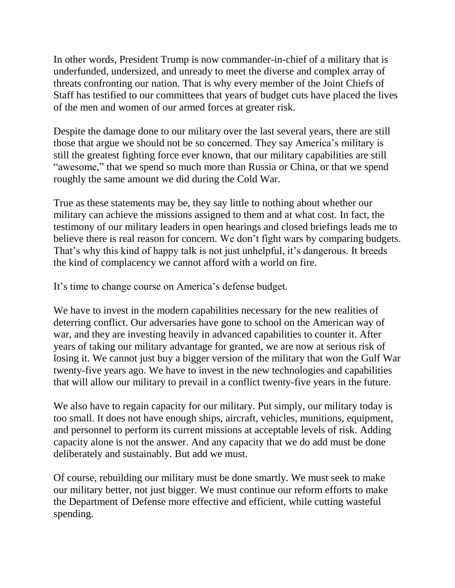In other words, President Trump is now commander-in-chief of a military that is underfunded, undersized, and unready to meet the diverse and complex array of threats confronting our nation. That is why every member of the Joint Chiefs of Staff has testified to our committees that years of budget cuts have placed the lives of the men and women of our armed forces at greater risk.

Despite the damage done to our military over the last several years, there are still those that argue we should not be so concerned. They say America's military is still the greatest fighting force ever known, that our military capabilities are still "awesome," that we spend so much more than Russia or China, or that we spend roughly the same amount we did during the Cold War.

True as these statements may be, they say little to nothing about whether our military can achieve the missions assigned to them and at what cost. In fact, the testimony of our military leaders in open hearings and closed briefings leads me to believe there is real reason for concern. We don't fight wars by comparing budgets. That's why this kind of happy talk is not just unhelpful, it's dangerous. It breeds the kind of complacency we cannot afford with a world on fire.

It's time to change course on America's defense budget.

We have to invest in the modern capabilities necessary for the new realities of deterring conflict. Our adversaries have gone to school on the American way of war, and they are investing heavily in advanced capabilities to counter it. After years of taking our military advantage for granted, we are now at serious risk of losing it. We cannot just buy a bigger version of the military that won the Gulf War twenty-five years ago. We have to invest in the new technologies and capabilities that will allow our military to prevail in a conflict twenty-five years in the future.

We also have to regain capacity for our military. Put simply, our military today is too small. It does not have enough ships, aircraft, vehicles, munitions, equipment, and personnel to perform its current missions at acceptable levels of risk. Adding capacity alone is not the answer. And any capacity that we do add must be done deliberately and sustainably. But add we must.

Of course, rebuilding our military must be done smartly. We must seek to make our military better, not just bigger. We must continue our reform efforts to make the Department of Defense more effective and efficient, while cutting wasteful spending.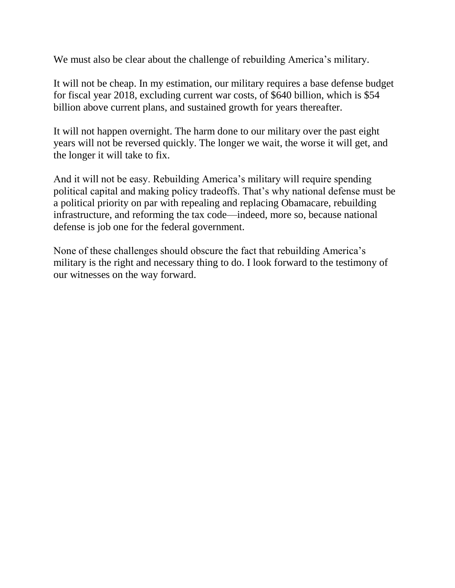We must also be clear about the challenge of rebuilding America's military.

It will not be cheap. In my estimation, our military requires a base defense budget for fiscal year 2018, excluding current war costs, of \$640 billion, which is \$54 billion above current plans, and sustained growth for years thereafter.

It will not happen overnight. The harm done to our military over the past eight years will not be reversed quickly. The longer we wait, the worse it will get, and the longer it will take to fix.

And it will not be easy. Rebuilding America's military will require spending political capital and making policy tradeoffs. That's why national defense must be a political priority on par with repealing and replacing Obamacare, rebuilding infrastructure, and reforming the tax code—indeed, more so, because national defense is job one for the federal government.

None of these challenges should obscure the fact that rebuilding America's military is the right and necessary thing to do. I look forward to the testimony of our witnesses on the way forward.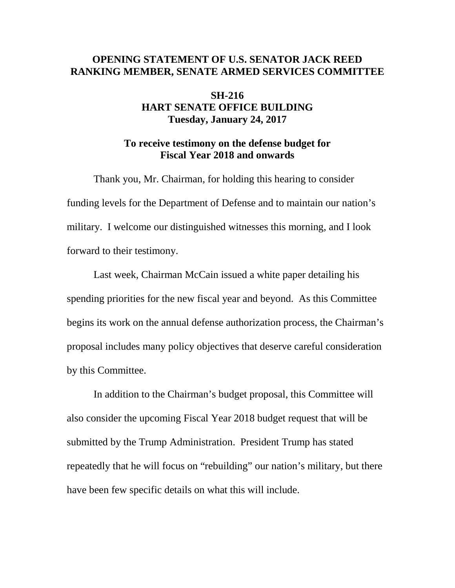# <span id="page-5-0"></span>**OPENING STATEMENT OF U.S. SENATOR JACK REED RANKING MEMBER, SENATE ARMED SERVICES COMMITTEE**

# **SH-216 HART SENATE OFFICE BUILDING Tuesday, January 24, 2017**

# **To receive testimony on the defense budget for Fiscal Year 2018 and onwards**

Thank you, Mr. Chairman, for holding this hearing to consider funding levels for the Department of Defense and to maintain our nation's military. I welcome our distinguished witnesses this morning, and I look forward to their testimony.

Last week, Chairman McCain issued a white paper detailing his spending priorities for the new fiscal year and beyond. As this Committee begins its work on the annual defense authorization process, the Chairman's proposal includes many policy objectives that deserve careful consideration by this Committee.

In addition to the Chairman's budget proposal, this Committee will also consider the upcoming Fiscal Year 2018 budget request that will be submitted by the Trump Administration. President Trump has stated repeatedly that he will focus on "rebuilding" our nation's military, but there have been few specific details on what this will include.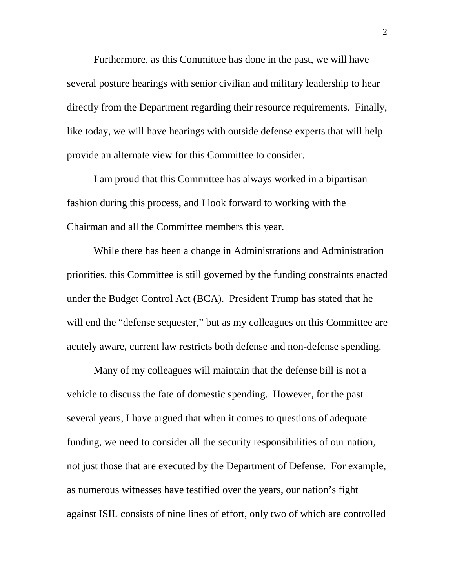Furthermore, as this Committee has done in the past, we will have several posture hearings with senior civilian and military leadership to hear directly from the Department regarding their resource requirements. Finally, like today, we will have hearings with outside defense experts that will help provide an alternate view for this Committee to consider.

I am proud that this Committee has always worked in a bipartisan fashion during this process, and I look forward to working with the Chairman and all the Committee members this year.

While there has been a change in Administrations and Administration priorities, this Committee is still governed by the funding constraints enacted under the Budget Control Act (BCA). President Trump has stated that he will end the "defense sequester," but as my colleagues on this Committee are acutely aware, current law restricts both defense and non-defense spending.

Many of my colleagues will maintain that the defense bill is not a vehicle to discuss the fate of domestic spending. However, for the past several years, I have argued that when it comes to questions of adequate funding, we need to consider all the security responsibilities of our nation, not just those that are executed by the Department of Defense. For example, as numerous witnesses have testified over the years, our nation's fight against ISIL consists of nine lines of effort, only two of which are controlled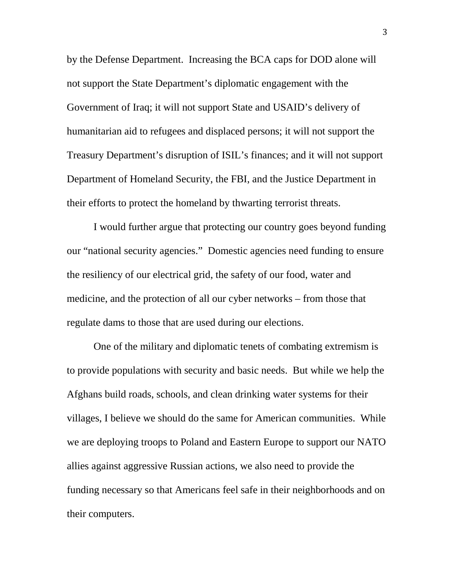by the Defense Department. Increasing the BCA caps for DOD alone will not support the State Department's diplomatic engagement with the Government of Iraq; it will not support State and USAID's delivery of humanitarian aid to refugees and displaced persons; it will not support the Treasury Department's disruption of ISIL's finances; and it will not support Department of Homeland Security, the FBI, and the Justice Department in their efforts to protect the homeland by thwarting terrorist threats.

I would further argue that protecting our country goes beyond funding our "national security agencies." Domestic agencies need funding to ensure the resiliency of our electrical grid, the safety of our food, water and medicine, and the protection of all our cyber networks – from those that regulate dams to those that are used during our elections.

One of the military and diplomatic tenets of combating extremism is to provide populations with security and basic needs. But while we help the Afghans build roads, schools, and clean drinking water systems for their villages, I believe we should do the same for American communities. While we are deploying troops to Poland and Eastern Europe to support our NATO allies against aggressive Russian actions, we also need to provide the funding necessary so that Americans feel safe in their neighborhoods and on their computers.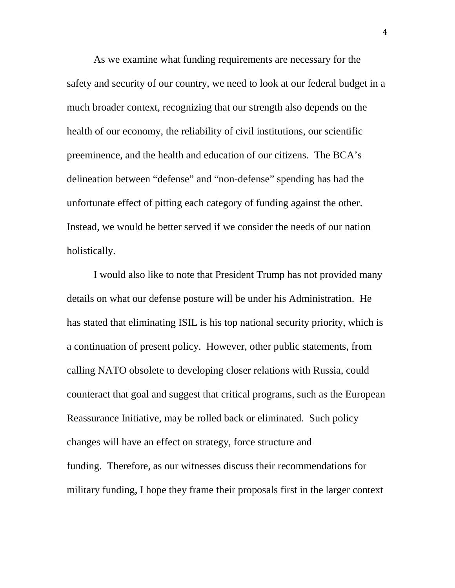As we examine what funding requirements are necessary for the safety and security of our country, we need to look at our federal budget in a much broader context, recognizing that our strength also depends on the health of our economy, the reliability of civil institutions, our scientific preeminence, and the health and education of our citizens. The BCA's delineation between "defense" and "non-defense" spending has had the unfortunate effect of pitting each category of funding against the other. Instead, we would be better served if we consider the needs of our nation holistically.

I would also like to note that President Trump has not provided many details on what our defense posture will be under his Administration. He has stated that eliminating ISIL is his top national security priority, which is a continuation of present policy. However, other public statements, from calling NATO obsolete to developing closer relations with Russia, could counteract that goal and suggest that critical programs, such as the European Reassurance Initiative, may be rolled back or eliminated. Such policy changes will have an effect on strategy, force structure and funding. Therefore, as our witnesses discuss their recommendations for military funding, I hope they frame their proposals first in the larger context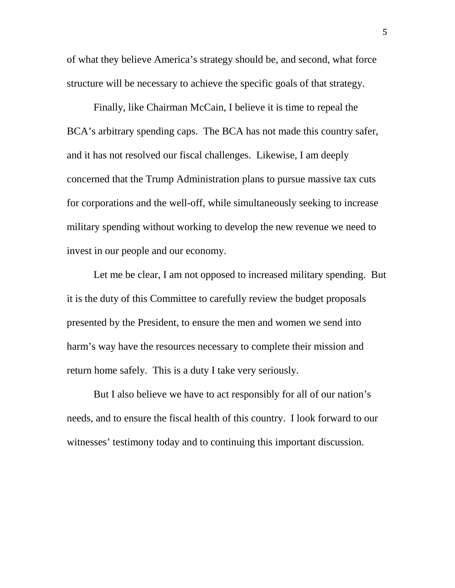of what they believe America's strategy should be, and second, what force structure will be necessary to achieve the specific goals of that strategy.

Finally, like Chairman McCain, I believe it is time to repeal the BCA's arbitrary spending caps. The BCA has not made this country safer, and it has not resolved our fiscal challenges. Likewise, I am deeply concerned that the Trump Administration plans to pursue massive tax cuts for corporations and the well-off, while simultaneously seeking to increase military spending without working to develop the new revenue we need to invest in our people and our economy.

Let me be clear, I am not opposed to increased military spending. But it is the duty of this Committee to carefully review the budget proposals presented by the President, to ensure the men and women we send into harm's way have the resources necessary to complete their mission and return home safely. This is a duty I take very seriously.

But I also believe we have to act responsibly for all of our nation's needs, and to ensure the fiscal health of this country. I look forward to our witnesses' testimony today and to continuing this important discussion.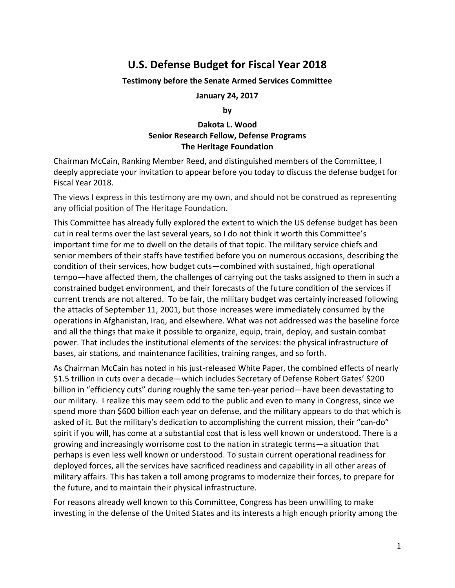# <span id="page-10-0"></span>**U.S. Defense Budget for Fiscal Year 2018**

#### **Testimony before the Senate Armed Services Committee**

**January 24, 2017**

**by**

#### **Dakota L. Wood Senior Research Fellow, Defense Programs The Heritage Foundation**

Chairman McCain, Ranking Member Reed, and distinguished members of the Committee, I deeply appreciate your invitation to appear before you today to discuss the defense budget for Fiscal Year 2018.

The views I express in this testimony are my own, and should not be construed as representing any official position of The Heritage Foundation.

This Committee has already fully explored the extent to which the US defense budget has been cut in real terms over the last several years, so I do not think it worth this Committee's important time for me to dwell on the details of that topic. The military service chiefs and senior members of their staffs have testified before you on numerous occasions, describing the condition of their services, how budget cuts—combined with sustained, high operational tempo—have affected them, the challenges of carrying out the tasks assigned to them in such a constrained budget environment, and their forecasts of the future condition of the services if current trends are not altered. To be fair, the military budget was certainly increased following the attacks of September 11, 2001, but those increases were immediately consumed by the operations in Afghanistan, Iraq, and elsewhere. What was not addressed was the baseline force and all the things that make it possible to organize, equip, train, deploy, and sustain combat power. That includes the institutional elements of the services: the physical infrastructure of bases, air stations, and maintenance facilities, training ranges, and so forth.

As Chairman McCain has noted in his just-released White Paper, the combined effects of nearly \$1.5 trillion in cuts over a decade—which includes Secretary of Defense Robert Gates' \$200 billion in "efficiency cuts" during roughly the same ten-year period—have been devastating to our military. I realize this may seem odd to the public and even to many in Congress, since we spend more than \$600 billion each year on defense, and the military appears to do that which is asked of it. But the military's dedication to accomplishing the current mission, their "can‐do" spirit if you will, has come at a substantial cost that is less well known or understood. There is a growing and increasingly worrisome cost to the nation in strategic terms—a situation that perhaps is even less well known or understood. To sustain current operational readiness for deployed forces, all the services have sacrificed readiness and capability in all other areas of military affairs. This has taken a toll among programs to modernize their forces, to prepare for the future, and to maintain their physical infrastructure.

For reasons already well known to this Committee, Congress has been unwilling to make investing in the defense of the United States and its interests a high enough priority among the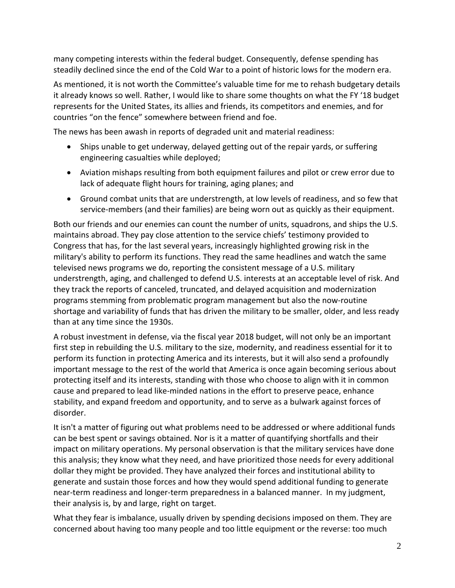many competing interests within the federal budget. Consequently, defense spending has steadily declined since the end of the Cold War to a point of historic lows for the modern era.

As mentioned, it is not worth the Committee's valuable time for me to rehash budgetary details it already knows so well. Rather, I would like to share some thoughts on what the FY '18 budget represents for the United States, its allies and friends, its competitors and enemies, and for countries "on the fence" somewhere between friend and foe.

The news has been awash in reports of degraded unit and material readiness:

- Ships unable to get underway, delayed getting out of the repair yards, or suffering engineering casualties while deployed;
- Aviation mishaps resulting from both equipment failures and pilot or crew error due to lack of adequate flight hours for training, aging planes; and
- Ground combat units that are understrength, at low levels of readiness, and so few that service-members (and their families) are being worn out as quickly as their equipment.

Both our friends and our enemies can count the number of units, squadrons, and ships the U.S. maintains abroad. They pay close attention to the service chiefs' testimony provided to Congress that has, for the last several years, increasingly highlighted growing risk in the military's ability to perform its functions. They read the same headlines and watch the same televised news programs we do, reporting the consistent message of a U.S. military understrength, aging, and challenged to defend U.S. interests at an acceptable level of risk. And they track the reports of canceled, truncated, and delayed acquisition and modernization programs stemming from problematic program management but also the now‐routine shortage and variability of funds that has driven the military to be smaller, older, and less ready than at any time since the 1930s.

A robust investment in defense, via the fiscal year 2018 budget, will not only be an important first step in rebuilding the U.S. military to the size, modernity, and readiness essential for it to perform its function in protecting America and its interests, but it will also send a profoundly important message to the rest of the world that America is once again becoming serious about protecting itself and its interests, standing with those who choose to align with it in common cause and prepared to lead like‐minded nations in the effort to preserve peace, enhance stability, and expand freedom and opportunity, and to serve as a bulwark against forces of disorder.

It isn't a matter of figuring out what problems need to be addressed or where additional funds can be best spent or savings obtained. Nor is it a matter of quantifying shortfalls and their impact on military operations. My personal observation is that the military services have done this analysis; they know what they need, and have prioritized those needs for every additional dollar they might be provided. They have analyzed their forces and institutional ability to generate and sustain those forces and how they would spend additional funding to generate near-term readiness and longer-term preparedness in a balanced manner. In my judgment, their analysis is, by and large, right on target.

What they fear is imbalance, usually driven by spending decisions imposed on them. They are concerned about having too many people and too little equipment or the reverse: too much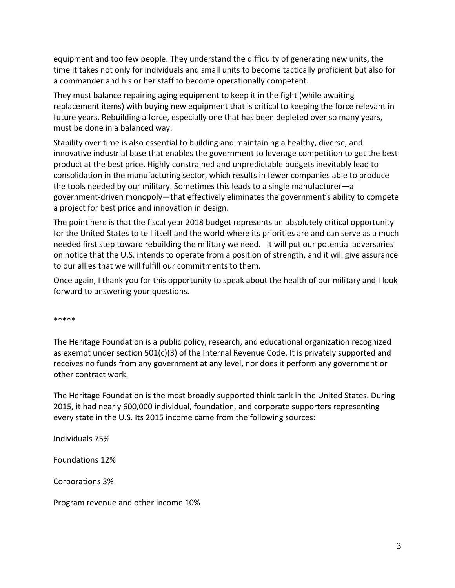equipment and too few people. They understand the difficulty of generating new units, the time it takes not only for individuals and small units to become tactically proficient but also for a commander and his or her staff to become operationally competent.

They must balance repairing aging equipment to keep it in the fight (while awaiting replacement items) with buying new equipment that is critical to keeping the force relevant in future years. Rebuilding a force, especially one that has been depleted over so many years, must be done in a balanced way.

Stability over time is also essential to building and maintaining a healthy, diverse, and innovative industrial base that enables the government to leverage competition to get the best product at the best price. Highly constrained and unpredictable budgets inevitably lead to consolidation in the manufacturing sector, which results in fewer companies able to produce the tools needed by our military. Sometimes this leads to a single manufacturer—a government‐driven monopoly—that effectively eliminates the government's ability to compete a project for best price and innovation in design.

The point here is that the fiscal year 2018 budget represents an absolutely critical opportunity for the United States to tell itself and the world where its priorities are and can serve as a much needed first step toward rebuilding the military we need. It will put our potential adversaries on notice that the U.S. intends to operate from a position of strength, and it will give assurance to our allies that we will fulfill our commitments to them.

Once again, I thank you for this opportunity to speak about the health of our military and I look forward to answering your questions.

\*\*\*\*\*

The Heritage Foundation is a public policy, research, and educational organization recognized as exempt under section 501(c)(3) of the Internal Revenue Code. It is privately supported and receives no funds from any government at any level, nor does it perform any government or other contract work.

The Heritage Foundation is the most broadly supported think tank in the United States. During 2015, it had nearly 600,000 individual, foundation, and corporate supporters representing every state in the U.S. Its 2015 income came from the following sources:

Individuals 75%

Foundations 12%

Corporations 3%

Program revenue and other income 10%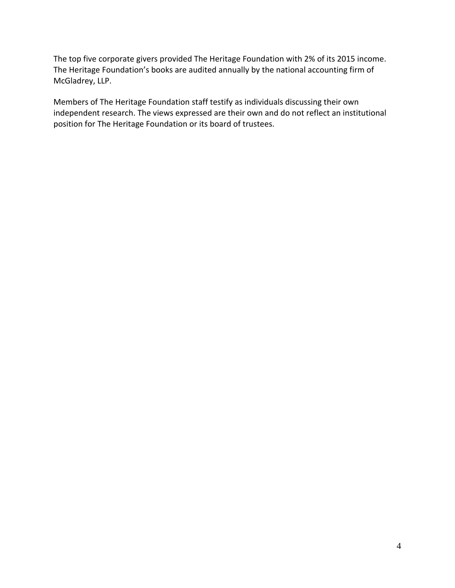The top five corporate givers provided The Heritage Foundation with 2% of its 2015 income. The Heritage Foundation's books are audited annually by the national accounting firm of McGladrey, LLP.

Members of The Heritage Foundation staff testify as individuals discussing their own independent research. The views expressed are their own and do not reflect an institutional position for The Heritage Foundation or its board of trustees.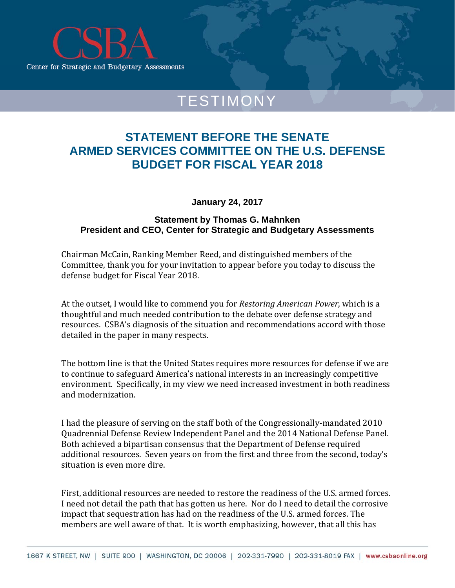<span id="page-14-0"></span>

# TESTIMONY

# **STATEMENT BEFORE THE SENATE ARMED SERVICES COMMITTEE ON THE U.S. DEFENSE BUDGET FOR FISCAL YEAR 2018**

**January 24, 2017** 

#### **Statement by Thomas G. Mahnken President and CEO, Center for Strategic and Budgetary Assessments**

Chairman McCain, Ranking Member Reed, and distinguished members of the Committee, thank you for your invitation to appear before you today to discuss the defense budget for Fiscal Year 2018.

At the outset, I would like to commend you for *Restoring American Power*, which is a thoughtful and much needed contribution to the debate over defense strategy and resources. CSBA's diagnosis of the situation and recommendations accord with those detailed in the paper in many respects.

The bottom line is that the United States requires more resources for defense if we are to continue to safeguard America's national interests in an increasingly competitive environment. Specifically, in my view we need increased investment in both readiness and modernization

I had the pleasure of serving on the staff both of the Congressionally-mandated 2010 Quadrennial Defense Review Independent Panel and the 2014 National Defense Panel. Both achieved a bipartisan consensus that the Department of Defense required additional resources. Seven years on from the first and three from the second, today's situation is even more dire.

First, additional resources are needed to restore the readiness of the U.S. armed forces. I need not detail the path that has gotten us here. Nor do I need to detail the corrosive impact that sequestration has had on the readiness of the U.S. armed forces. The members are well aware of that. It is worth emphasizing, however, that all this has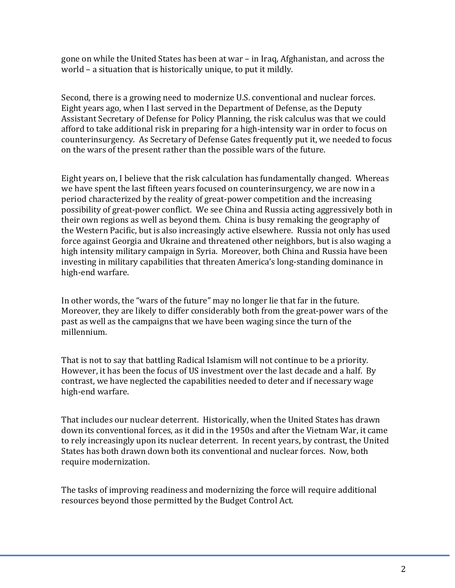gone on while the United States has been at war – in Iraq, Afghanistan, and across the world  $-$  a situation that is historically unique, to put it mildly.

Second, there is a growing need to modernize U.S. conventional and nuclear forces. Eight years ago, when I last served in the Department of Defense, as the Deputy Assistant Secretary of Defense for Policy Planning, the risk calculus was that we could afford to take additional risk in preparing for a high-intensity war in order to focus on counterinsurgency. As Secretary of Defense Gates frequently put it, we needed to focus on the wars of the present rather than the possible wars of the future.

Eight years on, I believe that the risk calculation has fundamentally changed. Whereas we have spent the last fifteen years focused on counterinsurgency, we are now in a period characterized by the reality of great-power competition and the increasing possibility of great-power conflict. We see China and Russia acting aggressively both in their own regions as well as beyond them. China is busy remaking the geography of the Western Pacific, but is also increasingly active elsewhere. Russia not only has used force against Georgia and Ukraine and threatened other neighbors, but is also waging a high intensity military campaign in Syria. Moreover, both China and Russia have been investing in military capabilities that threaten America's long-standing dominance in high-end warfare.

In other words, the "wars of the future" may no longer lie that far in the future. Moreover, they are likely to differ considerably both from the great-power wars of the past as well as the campaigns that we have been waging since the turn of the millennium. 

That is not to say that battling Radical Islamism will not continue to be a priority. However, it has been the focus of US investment over the last decade and a half. By contrast, we have neglected the capabilities needed to deter and if necessary wage high-end warfare.

That includes our nuclear deterrent. Historically, when the United States has drawn down its conventional forces, as it did in the 1950s and after the Vietnam War, it came to rely increasingly upon its nuclear deterrent. In recent years, by contrast, the United States has both drawn down both its conventional and nuclear forces. Now, both require modernization.

The tasks of improving readiness and modernizing the force will require additional resources beyond those permitted by the Budget Control Act.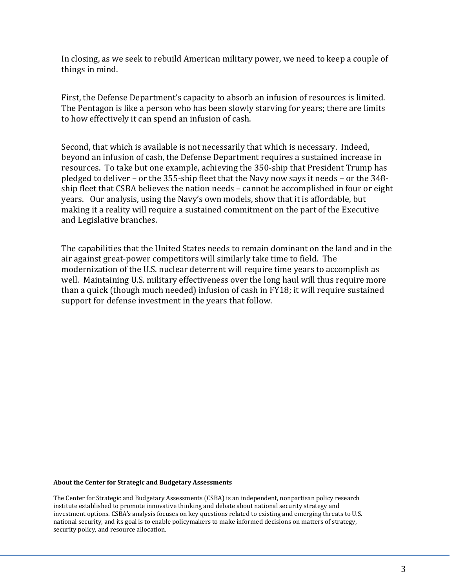In closing, as we seek to rebuild American military power, we need to keep a couple of things in mind.

First, the Defense Department's capacity to absorb an infusion of resources is limited. The Pentagon is like a person who has been slowly starving for years; there are limits to how effectively it can spend an infusion of cash.

Second, that which is available is not necessarily that which is necessary. Indeed, beyond an infusion of cash, the Defense Department requires a sustained increase in resources. To take but one example, achieving the 350-ship that President Trump has pledged to deliver - or the 355-ship fleet that the Navy now says it needs - or the 348ship fleet that CSBA believes the nation needs – cannot be accomplished in four or eight years. Our analysis, using the Navy's own models, show that it is affordable, but making it a reality will require a sustained commitment on the part of the Executive and Legislative branches.

The capabilities that the United States needs to remain dominant on the land and in the air against great-power competitors will similarly take time to field. The modernization of the U.S. nuclear deterrent will require time years to accomplish as well. Maintaining U.S. military effectiveness over the long haul will thus require more than a quick (though much needed) infusion of cash in FY18; it will require sustained support for defense investment in the years that follow.

#### **About the Center for Strategic and Budgetary Assessments**

The Center for Strategic and Budgetary Assessments (CSBA) is an independent, nonpartisan policy research institute established to promote innovative thinking and debate about national security strategy and investment options. CSBA's analysis focuses on key questions related to existing and emerging threats to U.S. national security, and its goal is to enable policymakers to make informed decisions on matters of strategy, security policy, and resource allocation.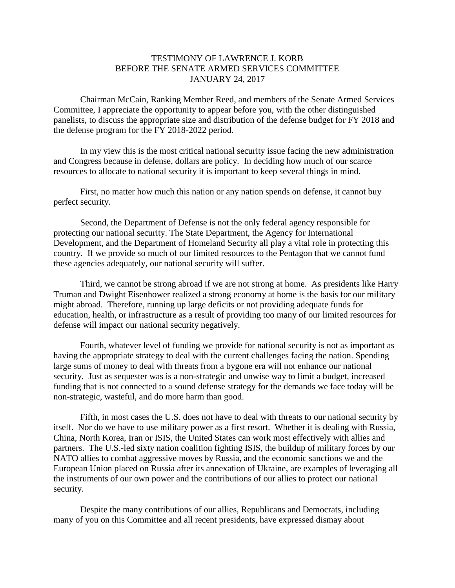#### TESTIMONY OF LAWRENCE J. KORB BEFORE THE SENATE ARMED SERVICES COMMITTEE JANUARY 24, 2017

<span id="page-17-0"></span>Chairman McCain, Ranking Member Reed, and members of the Senate Armed Services Committee, I appreciate the opportunity to appear before you, with the other distinguished panelists, to discuss the appropriate size and distribution of the defense budget for FY 2018 and the defense program for the FY 2018-2022 period.

In my view this is the most critical national security issue facing the new administration and Congress because in defense, dollars are policy. In deciding how much of our scarce resources to allocate to national security it is important to keep several things in mind.

First, no matter how much this nation or any nation spends on defense, it cannot buy perfect security.

Second, the Department of Defense is not the only federal agency responsible for protecting our national security. The State Department, the Agency for International Development, and the Department of Homeland Security all play a vital role in protecting this country. If we provide so much of our limited resources to the Pentagon that we cannot fund these agencies adequately, our national security will suffer.

Third, we cannot be strong abroad if we are not strong at home. As presidents like Harry Truman and Dwight Eisenhower realized a strong economy at home is the basis for our military might abroad. Therefore, running up large deficits or not providing adequate funds for education, health, or infrastructure as a result of providing too many of our limited resources for defense will impact our national security negatively.

Fourth, whatever level of funding we provide for national security is not as important as having the appropriate strategy to deal with the current challenges facing the nation. Spending large sums of money to deal with threats from a bygone era will not enhance our national security. Just as sequester was is a non-strategic and unwise way to limit a budget, increased funding that is not connected to a sound defense strategy for the demands we face today will be non-strategic, wasteful, and do more harm than good.

Fifth, in most cases the U.S. does not have to deal with threats to our national security by itself. Nor do we have to use military power as a first resort. Whether it is dealing with Russia, China, North Korea, Iran or ISIS, the United States can work most effectively with allies and partners. The U.S.-led sixty nation coalition fighting ISIS, the buildup of military forces by our NATO allies to combat aggressive moves by Russia, and the economic sanctions we and the European Union placed on Russia after its annexation of Ukraine, are examples of leveraging all the instruments of our own power and the contributions of our allies to protect our national security.

Despite the many contributions of our allies, Republicans and Democrats, including many of you on this Committee and all recent presidents, have expressed dismay about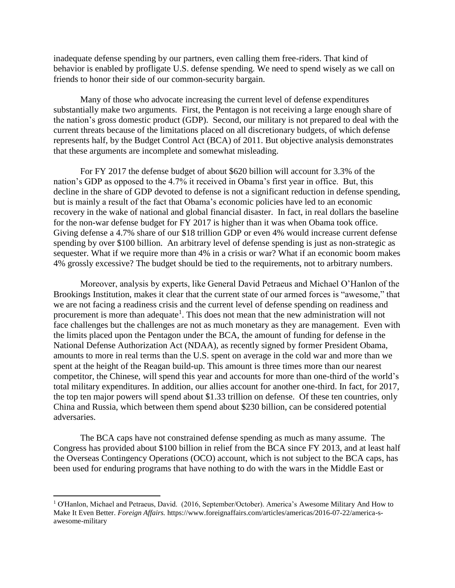inadequate defense spending by our partners, even calling them free-riders. That kind of behavior is enabled by profligate U.S. defense spending. We need to spend wisely as we call on friends to honor their side of our common-security bargain.

Many of those who advocate increasing the current level of defense expenditures substantially make two arguments. First, the Pentagon is not receiving a large enough share of the nation's gross domestic product (GDP). Second, our military is not prepared to deal with the current threats because of the limitations placed on all discretionary budgets, of which defense represents half, by the Budget Control Act (BCA) of 2011. But objective analysis demonstrates that these arguments are incomplete and somewhat misleading.

For FY 2017 the defense budget of about \$620 billion will account for 3.3% of the nation's GDP as opposed to the 4.7% it received in Obama's first year in office. But, this decline in the share of GDP devoted to defense is not a significant reduction in defense spending, but is mainly a result of the fact that Obama's economic policies have led to an economic recovery in the wake of national and global financial disaster. In fact, in real dollars the baseline for the non-war defense budget for FY 2017 is higher than it was when Obama took office. Giving defense a 4.7% share of our \$18 trillion GDP or even 4% would increase current defense spending by over \$100 billion. An arbitrary level of defense spending is just as non-strategic as sequester. What if we require more than 4% in a crisis or war? What if an economic boom makes 4% grossly excessive? The budget should be tied to the requirements, not to arbitrary numbers.

Moreover, analysis by experts, like General David Petraeus and Michael O'Hanlon of the Brookings Institution, makes it clear that the current state of our armed forces is "awesome," that we are not facing a readiness crisis and the current level of defense spending on readiness and procurement is more than adequate<sup>1</sup>. This does not mean that the new administration will not face challenges but the challenges are not as much monetary as they are management. Even with the limits placed upon the Pentagon under the BCA, the amount of funding for defense in the National Defense Authorization Act (NDAA), as recently signed by former President Obama, amounts to more in real terms than the U.S. spent on average in the cold war and more than we spent at the height of the Reagan build-up. This amount is three times more than our nearest competitor, the Chinese, will spend this year and accounts for more than one-third of the world's total military expenditures. In addition, our allies account for another one-third. In fact, for 2017, the top ten major powers will spend about \$1.33 trillion on defense. Of these ten countries, only China and Russia, which between them spend about \$230 billion, can be considered potential adversaries.

The BCA caps have not constrained defense spending as much as many assume. The Congress has provided about \$100 billion in relief from the BCA since FY 2013, and at least half the Overseas Contingency Operations (OCO) account, which is not subject to the BCA caps, has been used for enduring programs that have nothing to do with the wars in the Middle East or

 $\overline{\phantom{a}}$ 

<sup>1</sup> O'Hanlon, Michael and Petraeus, David. (2016, September/October). America's Awesome Military And How to Make It Even Better. *Foreign Affairs.* https://www.foreignaffairs.com/articles/americas/2016-07-22/america-sawesome-military